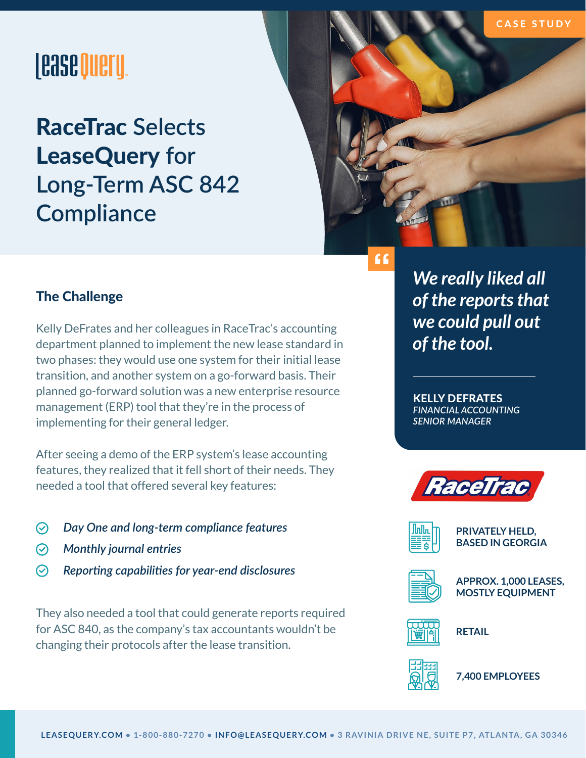#### CASE STUDY

# **|easeOueru.**

RaceTrac **Selects**  LeaseQuery **for Long-Term ASC 842 Compliance**



## The Challenge

Kelly DeFrates and her colleagues in RaceTrac's accounting department planned to implement the new lease standard in two phases: they would use one system for their initial lease transition, and another system on a go-forward basis. Their planned go-forward solution was a new enterprise resource management (ERP) tool that they're in the process of implementing for their general ledger.

After seeing a demo of the ERP system's lease accounting features, they realized that it fell short of their needs. They needed a tool that offered several key features:

- $\odot$ *Day One and long-term compliance features*
- $\odot$ *Monthly journal entries*
- $\odot$ *Reporting capabilities for year-end disclosures*

They also needed a tool that could generate reports required for ASC 840, as the company's tax accountants wouldn't be changing their protocols after the lease transition.

*We really liked all of the reports that we could pull out of the tool.*

KELLY DEFRATES *FINANCIAL ACCOUNTING SENIOR MANAGER*



**PRIVATELY HELD, BASED IN GEORGIA**



**APPROX. 1,000 LEASES, MOSTLY EQUIPMENT**



**RETAIL**



**7,400 EMPLOYEES**